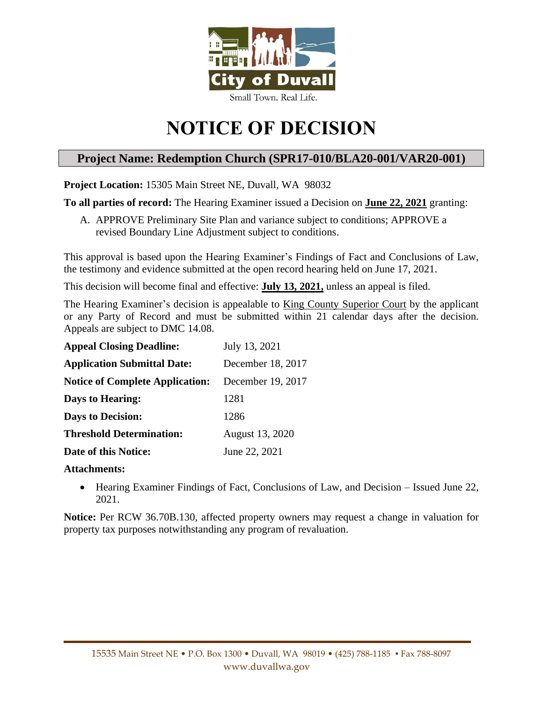

# **NOTICE OF DECISION**

# **Project Name: Redemption Church (SPR17-010/BLA20-001/VAR20-001)**

**Project Location:** 15305 Main Street NE, Duvall, WA 98032

**To all parties of record:** The Hearing Examiner issued a Decision on **June 22, 2021** granting:

A. APPROVE Preliminary Site Plan and variance subject to conditions; APPROVE a revised Boundary Line Adjustment subject to conditions.

This approval is based upon the Hearing Examiner's Findings of Fact and Conclusions of Law, the testimony and evidence submitted at the open record hearing held on June 17, 2021.

This decision will become final and effective: **July 13, 2021,** unless an appeal is filed.

The Hearing Examiner's decision is appealable to King County Superior Court by the applicant or any Party of Record and must be submitted within 21 calendar days after the decision. Appeals are subject to DMC 14.08.

| <b>Appeal Closing Deadline:</b>        | July 13, 2021     |
|----------------------------------------|-------------------|
| <b>Application Submittal Date:</b>     | December 18, 2017 |
| <b>Notice of Complete Application:</b> | December 19, 2017 |
| <b>Days to Hearing:</b>                | 1281              |
| <b>Days to Decision:</b>               | 1286              |
| <b>Threshold Determination:</b>        | August 13, 2020   |
| Date of this Notice:                   | June 22, 2021     |

# **Attachments:**

• Hearing Examiner Findings of Fact, Conclusions of Law, and Decision – Issued June 22, 2021.

**Notice:** Per RCW 36.70B.130, affected property owners may request a change in valuation for property tax purposes notwithstanding any program of revaluation.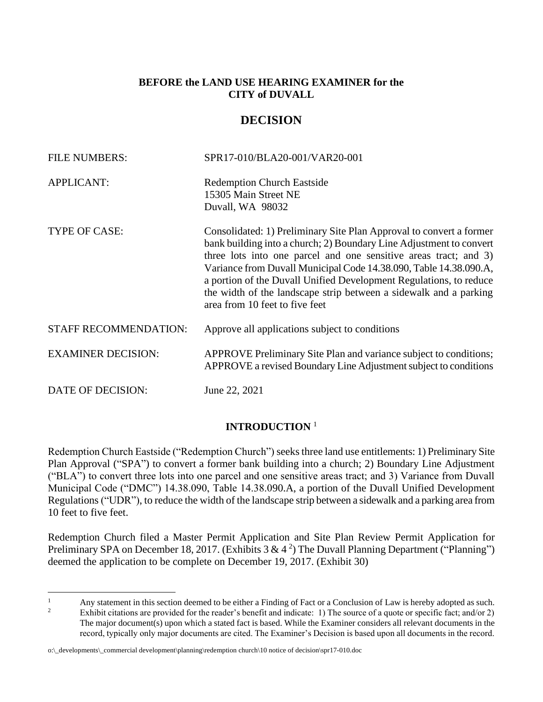# **BEFORE the LAND USE HEARING EXAMINER for the CITY of DUVALL**

# **DECISION**

| <b>FILE NUMBERS:</b>         | SPR17-010/BLA20-001/VAR20-001                                                                                                                                                                                                                                                                                                                                                                                                                                    |
|------------------------------|------------------------------------------------------------------------------------------------------------------------------------------------------------------------------------------------------------------------------------------------------------------------------------------------------------------------------------------------------------------------------------------------------------------------------------------------------------------|
| <b>APPLICANT:</b>            | <b>Redemption Church Eastside</b><br>15305 Main Street NE<br>Duvall, WA 98032                                                                                                                                                                                                                                                                                                                                                                                    |
| TYPE OF CASE:                | Consolidated: 1) Preliminary Site Plan Approval to convert a former<br>bank building into a church; 2) Boundary Line Adjustment to convert<br>three lots into one parcel and one sensitive areas tract; and 3)<br>Variance from Duvall Municipal Code 14.38.090, Table 14.38.090.A,<br>a portion of the Duvall Unified Development Regulations, to reduce<br>the width of the landscape strip between a sidewalk and a parking<br>area from 10 feet to five feet |
| <b>STAFF RECOMMENDATION:</b> | Approve all applications subject to conditions                                                                                                                                                                                                                                                                                                                                                                                                                   |
| <b>EXAMINER DECISION:</b>    | APPROVE Preliminary Site Plan and variance subject to conditions;<br>APPROVE a revised Boundary Line Adjustment subject to conditions                                                                                                                                                                                                                                                                                                                            |
| DATE OF DECISION:            | June 22, 2021                                                                                                                                                                                                                                                                                                                                                                                                                                                    |

# **INTRODUCTION** <sup>1</sup>

Redemption Church Eastside ("Redemption Church") seeks three land use entitlements: 1) Preliminary Site Plan Approval ("SPA") to convert a former bank building into a church; 2) Boundary Line Adjustment ("BLA") to convert three lots into one parcel and one sensitive areas tract; and 3) Variance from Duvall Municipal Code ("DMC") 14.38.090, Table 14.38.090.A, a portion of the Duvall Unified Development Regulations ("UDR"), to reduce the width of the landscape strip between a sidewalk and a parking area from 10 feet to five feet.

Redemption Church filed a Master Permit Application and Site Plan Review Permit Application for Preliminary SPA on December 18, 2017. (Exhibits 3 & 4<sup>2</sup>) The Duvall Planning Department ("Planning") deemed the application to be complete on December 19, 2017. (Exhibit 30)

<sup>&</sup>lt;sup>1</sup> Any statement in this section deemed to be either a Finding of Fact or a Conclusion of Law is hereby adopted as such.<br><sup>2</sup> Exhibit citations are provided for the reader's henefit and indicate: 1) The source of a quote Exhibit citations are provided for the reader's benefit and indicate: 1) The source of a quote or specific fact; and/or 2) The major document(s) upon which a stated fact is based. While the Examiner considers all relevant documents in the record, typically only major documents are cited. The Examiner's Decision is based upon all documents in the record.

o:\\_developments\\_commercial development\planning\redemption church\10 notice of decision\spr17-010.doc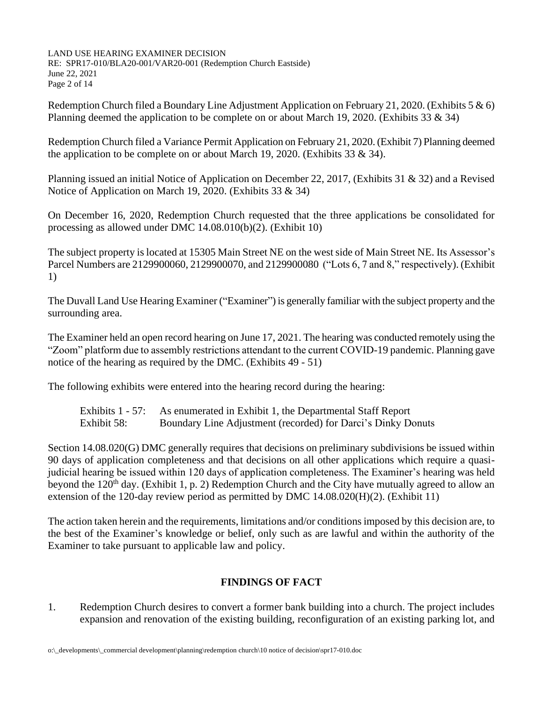LAND USE HEARING EXAMINER DECISION RE: SPR17-010/BLA20-001/VAR20-001 (Redemption Church Eastside) June 22, 2021 Page 2 of 14

Redemption Church filed a Boundary Line Adjustment Application on February 21, 2020. (Exhibits 5  $\&$  6) Planning deemed the application to be complete on or about March 19, 2020. (Exhibits 33  $\&$  34)

Redemption Church filed a Variance Permit Application on February 21, 2020. (Exhibit 7) Planning deemed the application to be complete on or about March 19, 2020. (Exhibits 33  $\&$  34).

Planning issued an initial Notice of Application on December 22, 2017, (Exhibits 31 & 32) and a Revised Notice of Application on March 19, 2020. (Exhibits 33 & 34)

On December 16, 2020, Redemption Church requested that the three applications be consolidated for processing as allowed under DMC 14.08.010(b)(2). (Exhibit 10)

The subject property is located at 15305 Main Street NE on the west side of Main Street NE. Its Assessor's Parcel Numbers are 2129900060, 2129900070, and 2129900080 ("Lots 6, 7 and 8," respectively). (Exhibit 1)

The Duvall Land Use Hearing Examiner ("Examiner") is generally familiar with the subject property and the surrounding area.

The Examiner held an open record hearing on June 17, 2021. The hearing was conducted remotely using the "Zoom" platform due to assembly restrictions attendant to the current COVID-19 pandemic. Planning gave notice of the hearing as required by the DMC. (Exhibits 49 - 51)

The following exhibits were entered into the hearing record during the hearing:

|             | Exhibits 1 - 57: As enumerated in Exhibit 1, the Departmental Staff Report |
|-------------|----------------------------------------------------------------------------|
| Exhibit 58: | Boundary Line Adjustment (recorded) for Darci's Dinky Donuts               |

Section 14.08.020(G) DMC generally requires that decisions on preliminary subdivisions be issued within 90 days of application completeness and that decisions on all other applications which require a quasijudicial hearing be issued within 120 days of application completeness. The Examiner's hearing was held beyond the  $120<sup>th</sup>$  day. (Exhibit 1, p. 2) Redemption Church and the City have mutually agreed to allow an extension of the 120-day review period as permitted by DMC 14.08.020(H)(2). (Exhibit 11)

The action taken herein and the requirements, limitations and/or conditions imposed by this decision are, to the best of the Examiner's knowledge or belief, only such as are lawful and within the authority of the Examiner to take pursuant to applicable law and policy.

# **FINDINGS OF FACT**

1. Redemption Church desires to convert a former bank building into a church. The project includes expansion and renovation of the existing building, reconfiguration of an existing parking lot, and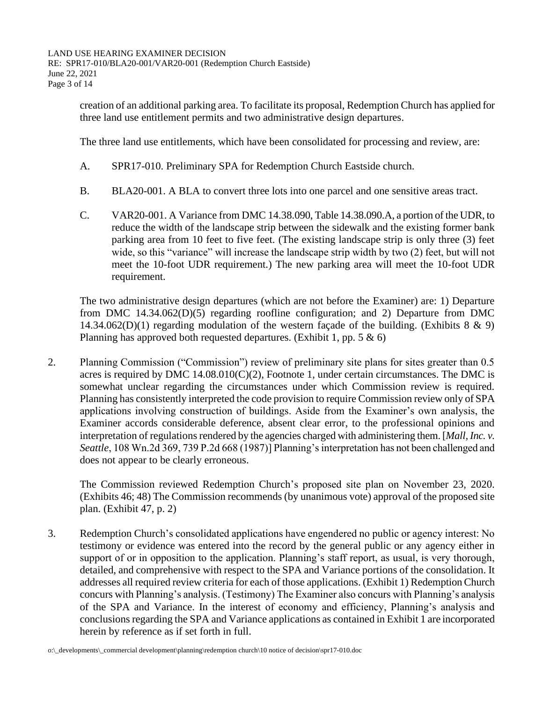creation of an additional parking area. To facilitate its proposal, Redemption Church has applied for three land use entitlement permits and two administrative design departures.

The three land use entitlements, which have been consolidated for processing and review, are:

- A. SPR17-010. Preliminary SPA for Redemption Church Eastside church.
- B. BLA20-001. A BLA to convert three lots into one parcel and one sensitive areas tract.
- C. VAR20-001. A Variance from DMC 14.38.090, Table 14.38.090.A, a portion of the UDR, to reduce the width of the landscape strip between the sidewalk and the existing former bank parking area from 10 feet to five feet. (The existing landscape strip is only three (3) feet wide, so this "variance" will increase the landscape strip width by two (2) feet, but will not meet the 10-foot UDR requirement.) The new parking area will meet the 10-foot UDR requirement.

The two administrative design departures (which are not before the Examiner) are: 1) Departure from DMC 14.34.062(D)(5) regarding roofline configuration; and 2) Departure from DMC 14.34.062(D)(1) regarding modulation of the western facade of the building. (Exhibits  $8 \& 9$ ) Planning has approved both requested departures. (Exhibit 1, pp.  $5 \& 6$ )

2. Planning Commission ("Commission") review of preliminary site plans for sites greater than 0.5 acres is required by DMC  $14.08.010(C)(2)$ , Footnote 1, under certain circumstances. The DMC is somewhat unclear regarding the circumstances under which Commission review is required. Planning has consistently interpreted the code provision to require Commission review only of SPA applications involving construction of buildings. Aside from the Examiner's own analysis, the Examiner accords considerable deference, absent clear error, to the professional opinions and interpretation of regulations rendered by the agencies charged with administering them. [*Mall, Inc. v. Seattle*, 108 Wn.2d 369, 739 P.2d 668 (1987)] Planning's interpretation has not been challenged and does not appear to be clearly erroneous.

The Commission reviewed Redemption Church's proposed site plan on November 23, 2020. (Exhibits 46; 48) The Commission recommends (by unanimous vote) approval of the proposed site plan. (Exhibit 47, p. 2)

3. Redemption Church's consolidated applications have engendered no public or agency interest: No testimony or evidence was entered into the record by the general public or any agency either in support of or in opposition to the application. Planning's staff report, as usual, is very thorough, detailed, and comprehensive with respect to the SPA and Variance portions of the consolidation. It addresses all required review criteria for each of those applications. (Exhibit 1) Redemption Church concurs with Planning's analysis. (Testimony) The Examiner also concurs with Planning's analysis of the SPA and Variance. In the interest of economy and efficiency, Planning's analysis and conclusions regarding the SPA and Variance applications as contained in Exhibit 1 are incorporated herein by reference as if set forth in full.

o:\\_developments\\_commercial development\planning\redemption church\10 notice of decision\spr17-010.doc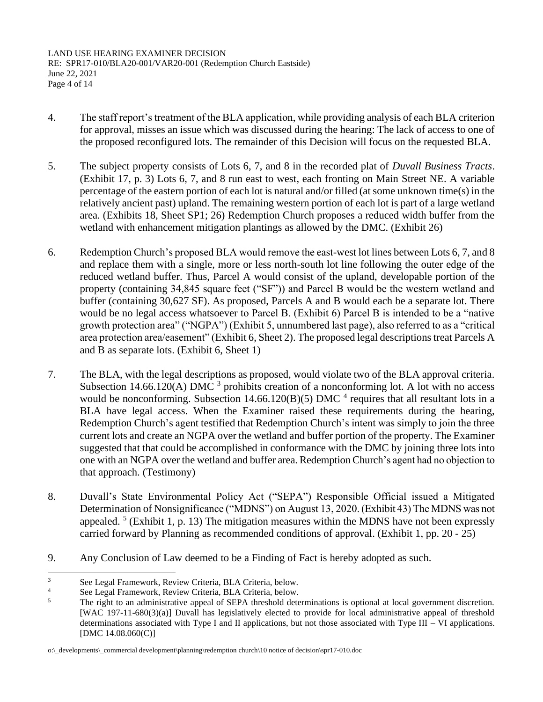LAND USE HEARING EXAMINER DECISION RE: SPR17-010/BLA20-001/VAR20-001 (Redemption Church Eastside) June 22, 2021 Page 4 of 14

- 4. The staff report's treatment of the BLA application, while providing analysis of each BLA criterion for approval, misses an issue which was discussed during the hearing: The lack of access to one of the proposed reconfigured lots. The remainder of this Decision will focus on the requested BLA.
- 5. The subject property consists of Lots 6, 7, and 8 in the recorded plat of *Duvall Business Tracts*. (Exhibit 17, p. 3) Lots 6, 7, and 8 run east to west, each fronting on Main Street NE. A variable percentage of the eastern portion of each lot is natural and/or filled (at some unknown time(s) in the relatively ancient past) upland. The remaining western portion of each lot is part of a large wetland area. (Exhibits 18, Sheet SP1; 26) Redemption Church proposes a reduced width buffer from the wetland with enhancement mitigation plantings as allowed by the DMC. (Exhibit 26)
- 6. Redemption Church's proposed BLA would remove the east-west lot lines between Lots 6, 7, and 8 and replace them with a single, more or less north-south lot line following the outer edge of the reduced wetland buffer. Thus, Parcel A would consist of the upland, developable portion of the property (containing 34,845 square feet ("SF")) and Parcel B would be the western wetland and buffer (containing 30,627 SF). As proposed, Parcels A and B would each be a separate lot. There would be no legal access whatsoever to Parcel B. (Exhibit 6) Parcel B is intended to be a "native growth protection area" ("NGPA") (Exhibit 5, unnumbered last page), also referred to as a "critical area protection area/easement" (Exhibit 6, Sheet 2). The proposed legal descriptions treat Parcels A and B as separate lots. (Exhibit 6, Sheet 1)
- 7. The BLA, with the legal descriptions as proposed, would violate two of the BLA approval criteria. Subsection 14.66.120(A) DMC  $3$  prohibits creation of a nonconforming lot. A lot with no access would be nonconforming. Subsection  $14.66.120(B)(5)$  DMC  $^4$  requires that all resultant lots in a BLA have legal access. When the Examiner raised these requirements during the hearing, Redemption Church's agent testified that Redemption Church's intent was simply to join the three current lots and create an NGPA over the wetland and buffer portion of the property. The Examiner suggested that that could be accomplished in conformance with the DMC by joining three lots into one with an NGPA over the wetland and buffer area. Redemption Church's agent had no objection to that approach. (Testimony)
- 8. Duvall's State Environmental Policy Act ("SEPA") Responsible Official issued a Mitigated Determination of Nonsignificance ("MDNS") on August 13, 2020. (Exhibit 43) The MDNS was not appealed.<sup>5</sup> (Exhibit 1, p. 13) The mitigation measures within the MDNS have not been expressly carried forward by Planning as recommended conditions of approval. (Exhibit 1, pp. 20 - 25)
- 9. Any Conclusion of Law deemed to be a Finding of Fact is hereby adopted as such.

<sup>3</sup> See Legal Framework, Review Criteria, BLA Criteria, below.

<sup>&</sup>lt;sup>4</sup> See Legal Framework, Review Criteria, BLA Criteria, below.<br><sup>5</sup> The right to an edministrative anneal of SERA threshold data

The right to an administrative appeal of SEPA threshold determinations is optional at local government discretion. [WAC 197-11-680(3)(a)] Duvall has legislatively elected to provide for local administrative appeal of threshold determinations associated with Type I and II applications, but not those associated with Type III – VI applications. [DMC 14.08.060(C)]

o:\\_developments\\_commercial development\planning\redemption church\10 notice of decision\spr17-010.doc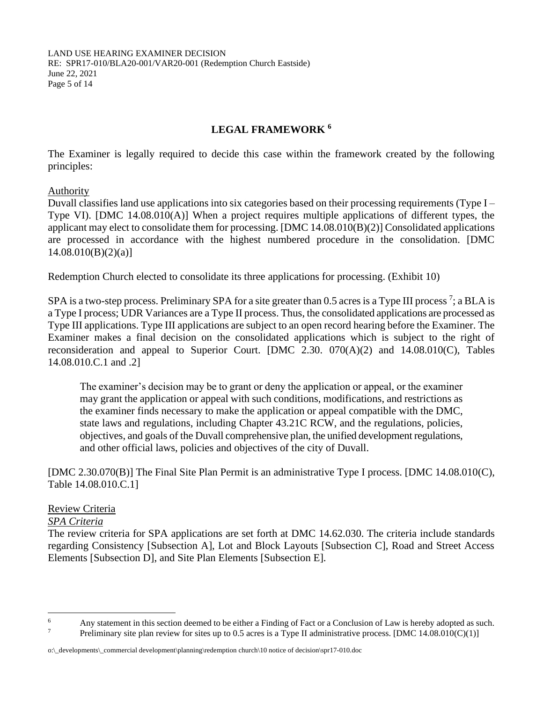LAND USE HEARING EXAMINER DECISION RE: SPR17-010/BLA20-001/VAR20-001 (Redemption Church Eastside) June 22, 2021 Page 5 of 14

# **LEGAL FRAMEWORK <sup>6</sup>**

The Examiner is legally required to decide this case within the framework created by the following principles:

Authority

Duvall classifies land use applications into six categories based on their processing requirements (Type I – Type VI). [DMC 14.08.010(A)] When a project requires multiple applications of different types, the applicant may elect to consolidate them for processing. [DMC 14.08.010(B)(2)] Consolidated applications are processed in accordance with the highest numbered procedure in the consolidation. [DMC  $14.08.010(B)(2)(a)$ ]

Redemption Church elected to consolidate its three applications for processing. (Exhibit 10)

SPA is a two-step process. Preliminary SPA for a site greater than 0.5 acres is a Type III process<sup>7</sup>; a BLA is a Type I process; UDR Variances are a Type II process. Thus, the consolidated applications are processed as Type III applications. Type III applications are subject to an open record hearing before the Examiner. The Examiner makes a final decision on the consolidated applications which is subject to the right of reconsideration and appeal to Superior Court.  $[DMC 2.30. 070(A)(2)$  and  $14.08.010(C)$ , Tables 14.08.010.C.1 and .2]

The examiner's decision may be to grant or deny the application or appeal, or the examiner may grant the application or appeal with such conditions, modifications, and restrictions as the examiner finds necessary to make the application or appeal compatible with the DMC, state laws and regulations, including Chapter 43.21C RCW, and the regulations, policies, objectives, and goals of the Duvall comprehensive plan, the unified development regulations, and other official laws, policies and objectives of the city of Duvall.

[DMC 2.30.070(B)] The Final Site Plan Permit is an administrative Type I process. [DMC 14.08.010(C), Table 14.08.010.C.1]

# Review Criteria

# *SPA Criteria*

The review criteria for SPA applications are set forth at DMC 14.62.030. The criteria include standards regarding Consistency [Subsection A], Lot and Block Layouts [Subsection C], Road and Street Access Elements [Subsection D], and Site Plan Elements [Subsection E].

<sup>&</sup>lt;sup>6</sup> Any statement in this section deemed to be either a Finding of Fact or a Conclusion of Law is hereby adopted as such.<br><sup>7</sup> Desliming with also gavious for sites up to 0.5 same is a Type II administrative greeses. IDMC Preliminary site plan review for sites up to 0.5 acres is a Type II administrative process. [DMC 14.08.010(C)(1)]

o:\\_developments\\_commercial development\planning\redemption church\10 notice of decision\spr17-010.doc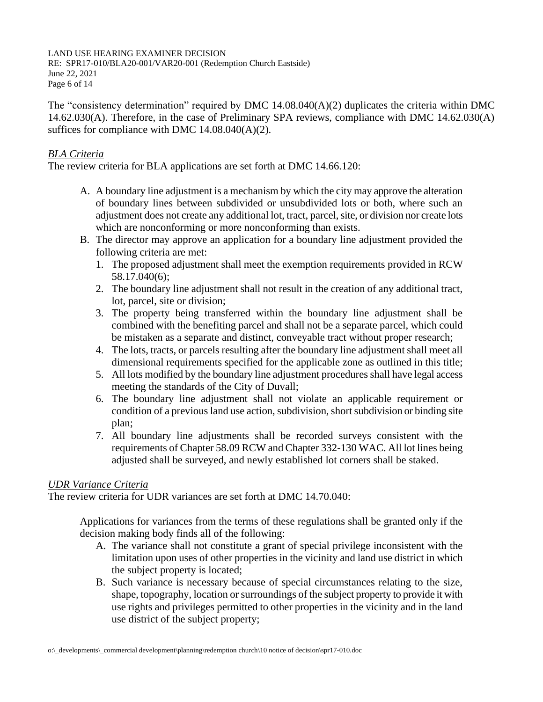#### LAND USE HEARING EXAMINER DECISION

RE: SPR17-010/BLA20-001/VAR20-001 (Redemption Church Eastside) June 22, 2021 Page 6 of 14

The "consistency determination" required by DMC  $14.08.040(A)(2)$  duplicates the criteria within DMC 14.62.030(A). Therefore, in the case of Preliminary SPA reviews, compliance with DMC 14.62.030(A) suffices for compliance with DMC  $14.08.040(A)(2)$ .

# *BLA Criteria*

The review criteria for BLA applications are set forth at DMC 14.66.120:

- A. A boundary line adjustment is a mechanism by which the city may approve the alteration of boundary lines between subdivided or unsubdivided lots or both, where such an adjustment does not create any additional lot, tract, parcel, site, or division nor create lots which are nonconforming or more nonconforming than exists.
- B. The director may approve an application for a boundary line adjustment provided the following criteria are met:
	- 1. The proposed adjustment shall meet the exemption requirements provided in RCW 58.17.040(6);
	- 2. The boundary line adjustment shall not result in the creation of any additional tract, lot, parcel, site or division;
	- 3. The property being transferred within the boundary line adjustment shall be combined with the benefiting parcel and shall not be a separate parcel, which could be mistaken as a separate and distinct, conveyable tract without proper research;
	- 4. The lots, tracts, or parcels resulting after the boundary line adjustment shall meet all dimensional requirements specified for the applicable zone as outlined in this title;
	- 5. All lots modified by the boundary line adjustment procedures shall have legal access meeting the standards of the City of Duvall;
	- 6. The boundary line adjustment shall not violate an applicable requirement or condition of a previous land use action, subdivision, short subdivision or binding site plan;
	- 7. All boundary line adjustments shall be recorded surveys consistent with the requirements of Chapter 58.09 RCW and Chapter 332-130 WAC. All lot lines being adjusted shall be surveyed, and newly established lot corners shall be staked.

# *UDR Variance Criteria*

The review criteria for UDR variances are set forth at DMC 14.70.040:

Applications for variances from the terms of these regulations shall be granted only if the decision making body finds all of the following:

- A. The variance shall not constitute a grant of special privilege inconsistent with the limitation upon uses of other properties in the vicinity and land use district in which the subject property is located;
- B. Such variance is necessary because of special circumstances relating to the size, shape, topography, location or surroundings of the subject property to provide it with use rights and privileges permitted to other properties in the vicinity and in the land use district of the subject property;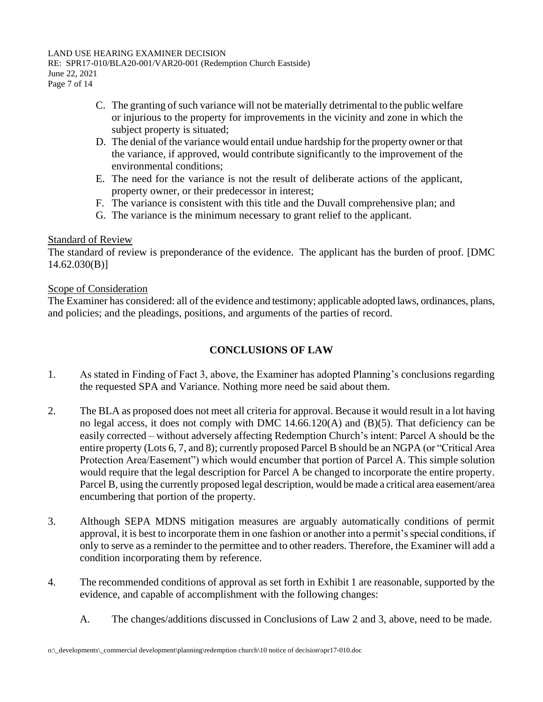#### LAND USE HEARING EXAMINER DECISION

RE: SPR17-010/BLA20-001/VAR20-001 (Redemption Church Eastside) June 22, 2021 Page 7 of 14

- C. The granting of such variance will not be materially detrimental to the public welfare or injurious to the property for improvements in the vicinity and zone in which the subject property is situated;
- D. The denial of the variance would entail undue hardship for the property owner or that the variance, if approved, would contribute significantly to the improvement of the environmental conditions;
- E. The need for the variance is not the result of deliberate actions of the applicant, property owner, or their predecessor in interest;
- F. The variance is consistent with this title and the Duvall comprehensive plan; and
- G. The variance is the minimum necessary to grant relief to the applicant.

# Standard of Review

The standard of review is preponderance of the evidence. The applicant has the burden of proof. [DMC 14.62.030(B)]

# Scope of Consideration

The Examiner has considered: all of the evidence and testimony; applicable adopted laws, ordinances, plans, and policies; and the pleadings, positions, and arguments of the parties of record.

# **CONCLUSIONS OF LAW**

- 1. As stated in Finding of Fact 3, above, the Examiner has adopted Planning's conclusions regarding the requested SPA and Variance. Nothing more need be said about them.
- 2. The BLA as proposed does not meet all criteria for approval. Because it would result in a lot having no legal access, it does not comply with DMC  $14.66.120(A)$  and  $(B)(5)$ . That deficiency can be easily corrected – without adversely affecting Redemption Church's intent: Parcel A should be the entire property (Lots 6, 7, and 8); currently proposed Parcel B should be an NGPA (or "Critical Area Protection Area/Easement") which would encumber that portion of Parcel A. This simple solution would require that the legal description for Parcel A be changed to incorporate the entire property. Parcel B, using the currently proposed legal description, would be made a critical area easement/area encumbering that portion of the property.
- 3. Although SEPA MDNS mitigation measures are arguably automatically conditions of permit approval, it is best to incorporate them in one fashion or another into a permit's special conditions, if only to serve as a reminder to the permittee and to other readers. Therefore, the Examiner will add a condition incorporating them by reference.
- 4. The recommended conditions of approval as set forth in Exhibit 1 are reasonable, supported by the evidence, and capable of accomplishment with the following changes:
	- A. The changes/additions discussed in Conclusions of Law 2 and 3, above, need to be made.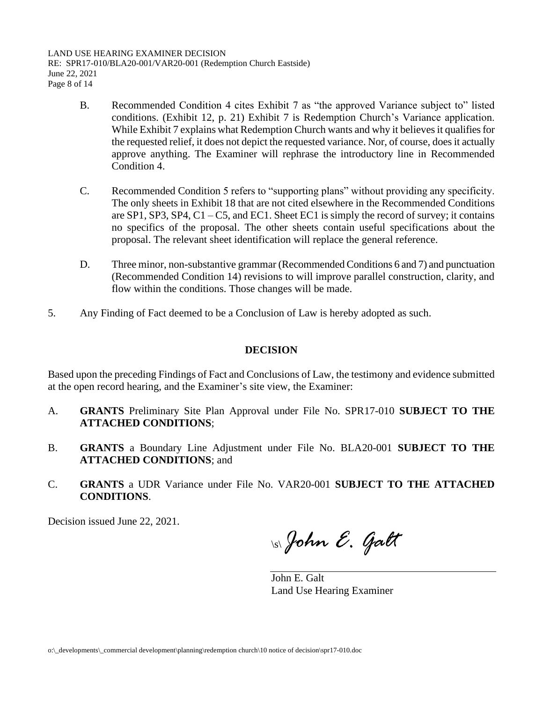LAND USE HEARING EXAMINER DECISION RE: SPR17-010/BLA20-001/VAR20-001 (Redemption Church Eastside) June 22, 2021 Page 8 of 14

- B. Recommended Condition 4 cites Exhibit 7 as "the approved Variance subject to" listed conditions. (Exhibit 12, p. 21) Exhibit 7 is Redemption Church's Variance application. While Exhibit 7 explains what Redemption Church wants and why it believes it qualifies for the requested relief, it does not depict the requested variance. Nor, of course, does it actually approve anything. The Examiner will rephrase the introductory line in Recommended Condition 4.
- C. Recommended Condition 5 refers to "supporting plans" without providing any specificity. The only sheets in Exhibit 18 that are not cited elsewhere in the Recommended Conditions are SP1, SP3, SP4, C1 – C5, and EC1. Sheet EC1 is simply the record of survey; it contains no specifics of the proposal. The other sheets contain useful specifications about the proposal. The relevant sheet identification will replace the general reference.
- D. Three minor, non-substantive grammar (Recommended Conditions 6 and 7) and punctuation (Recommended Condition 14) revisions to will improve parallel construction, clarity, and flow within the conditions. Those changes will be made.
- 5. Any Finding of Fact deemed to be a Conclusion of Law is hereby adopted as such.

# **DECISION**

Based upon the preceding Findings of Fact and Conclusions of Law, the testimony and evidence submitted at the open record hearing, and the Examiner's site view, the Examiner:

- A. **GRANTS** Preliminary Site Plan Approval under File No. SPR17-010 **SUBJECT TO THE ATTACHED CONDITIONS**;
- B. **GRANTS** a Boundary Line Adjustment under File No. BLA20-001 **SUBJECT TO THE ATTACHED CONDITIONS**; and
- C. **GRANTS** a UDR Variance under File No. VAR20-001 **SUBJECT TO THE ATTACHED CONDITIONS**.

Decision issued June 22, 2021.

\s\*John E. Galt*

John E. Galt Land Use Hearing Examiner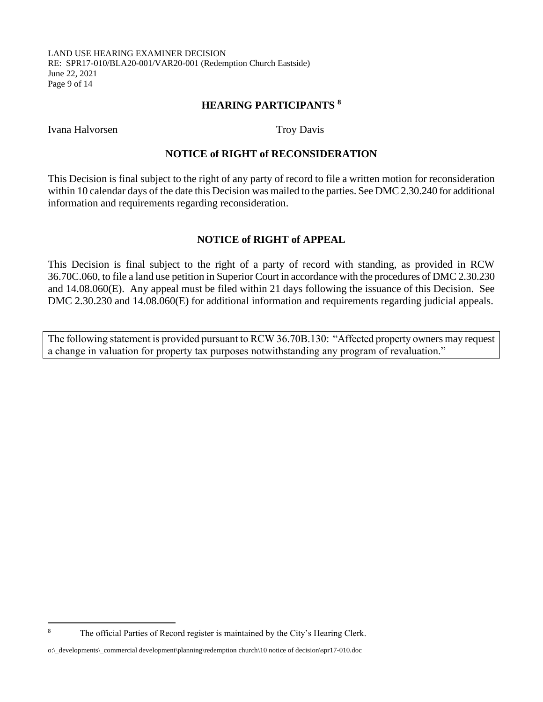#### LAND USE HEARING EXAMINER DECISION RE: SPR17-010/BLA20-001/VAR20-001 (Redemption Church Eastside) June 22, 2021 Page 9 of 14

# **HEARING PARTICIPANTS <sup>8</sup>**

Ivana Halvorsen Troy Davis

#### **NOTICE of RIGHT of RECONSIDERATION**

This Decision is final subject to the right of any party of record to file a written motion for reconsideration within 10 calendar days of the date this Decision was mailed to the parties. See DMC 2.30.240 for additional information and requirements regarding reconsideration.

# **NOTICE of RIGHT of APPEAL**

This Decision is final subject to the right of a party of record with standing, as provided in RCW 36.70C.060, to file a land use petition in Superior Court in accordance with the procedures of DMC 2.30.230 and 14.08.060(E). Any appeal must be filed within 21 days following the issuance of this Decision. See DMC 2.30.230 and 14.08.060(E) for additional information and requirements regarding judicial appeals.

The following statement is provided pursuant to RCW 36.70B.130: "Affected property owners may request a change in valuation for property tax purposes notwithstanding any program of revaluation."

<sup>&</sup>lt;sup>8</sup> The official Parties of Record register is maintained by the City's Hearing Clerk.

o:\\_developments\\_commercial development\planning\redemption church\10 notice of decision\spr17-010.doc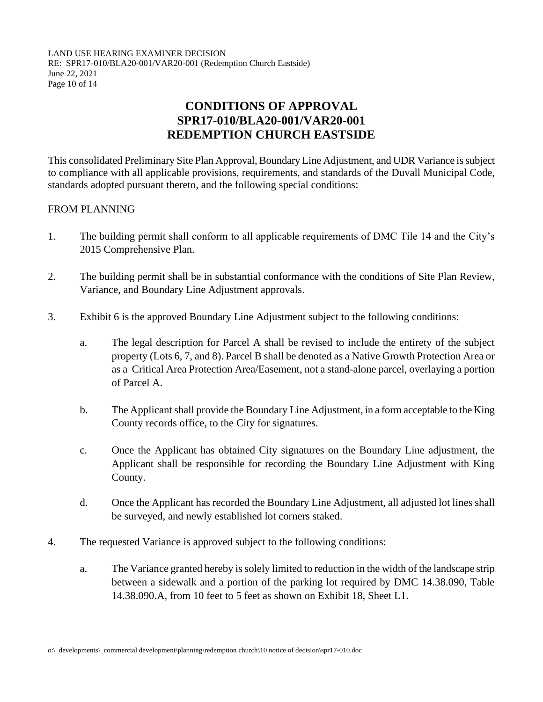LAND USE HEARING EXAMINER DECISION RE: SPR17-010/BLA20-001/VAR20-001 (Redemption Church Eastside) June 22, 2021 Page 10 of 14

# **CONDITIONS OF APPROVAL SPR17-010/BLA20-001/VAR20-001 REDEMPTION CHURCH EASTSIDE**

This consolidated Preliminary Site Plan Approval, Boundary Line Adjustment, and UDR Variance is subject to compliance with all applicable provisions, requirements, and standards of the Duvall Municipal Code, standards adopted pursuant thereto, and the following special conditions:

# FROM PLANNING

- 1. The building permit shall conform to all applicable requirements of DMC Tile 14 and the City's 2015 Comprehensive Plan.
- 2. The building permit shall be in substantial conformance with the conditions of Site Plan Review, Variance, and Boundary Line Adjustment approvals.
- 3. Exhibit 6 is the approved Boundary Line Adjustment subject to the following conditions:
	- a. The legal description for Parcel A shall be revised to include the entirety of the subject property (Lots 6, 7, and 8). Parcel B shall be denoted as a Native Growth Protection Area or as a Critical Area Protection Area/Easement, not a stand-alone parcel, overlaying a portion of Parcel A.
	- b. The Applicant shall provide the Boundary Line Adjustment, in a form acceptable to the King County records office, to the City for signatures.
	- c. Once the Applicant has obtained City signatures on the Boundary Line adjustment, the Applicant shall be responsible for recording the Boundary Line Adjustment with King County.
	- d. Once the Applicant has recorded the Boundary Line Adjustment, all adjusted lot lines shall be surveyed, and newly established lot corners staked.
- 4. The requested Variance is approved subject to the following conditions:
	- a. The Variance granted hereby is solely limited to reduction in the width of the landscape strip between a sidewalk and a portion of the parking lot required by DMC 14.38.090, Table 14.38.090.A, from 10 feet to 5 feet as shown on Exhibit 18, Sheet L1.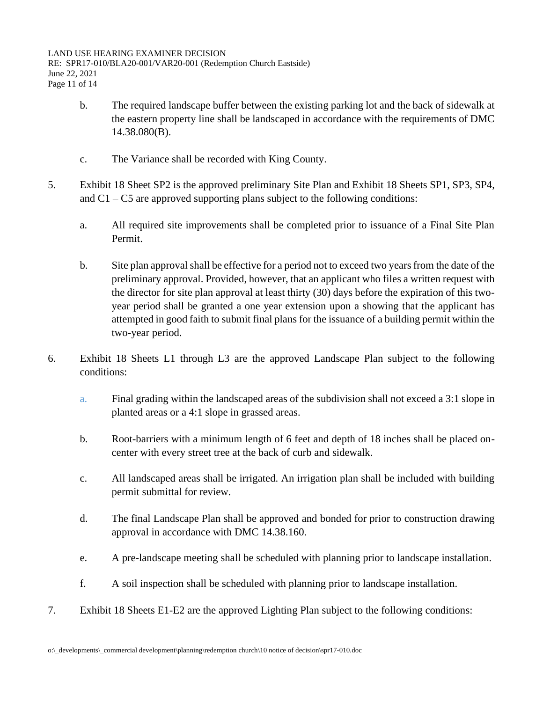- b. The required landscape buffer between the existing parking lot and the back of sidewalk at the eastern property line shall be landscaped in accordance with the requirements of DMC 14.38.080(B).
- c. The Variance shall be recorded with King County.
- 5. Exhibit 18 Sheet SP2 is the approved preliminary Site Plan and Exhibit 18 Sheets SP1, SP3, SP4, and  $C1 - C5$  are approved supporting plans subject to the following conditions:
	- a. All required site improvements shall be completed prior to issuance of a Final Site Plan Permit.
	- b. Site plan approval shall be effective for a period not to exceed two years from the date of the preliminary approval. Provided, however, that an applicant who files a written request with the director for site plan approval at least thirty (30) days before the expiration of this twoyear period shall be granted a one year extension upon a showing that the applicant has attempted in good faith to submit final plans for the issuance of a building permit within the two-year period.
- 6. Exhibit 18 Sheets L1 through L3 are the approved Landscape Plan subject to the following conditions:
	- a. Final grading within the landscaped areas of the subdivision shall not exceed a 3:1 slope in planted areas or a 4:1 slope in grassed areas.
	- b. Root-barriers with a minimum length of 6 feet and depth of 18 inches shall be placed oncenter with every street tree at the back of curb and sidewalk.
	- c. All landscaped areas shall be irrigated. An irrigation plan shall be included with building permit submittal for review.
	- d. The final Landscape Plan shall be approved and bonded for prior to construction drawing approval in accordance with DMC 14.38.160.
	- e. A pre-landscape meeting shall be scheduled with planning prior to landscape installation.
	- f. A soil inspection shall be scheduled with planning prior to landscape installation.
- 7. Exhibit 18 Sheets E1-E2 are the approved Lighting Plan subject to the following conditions: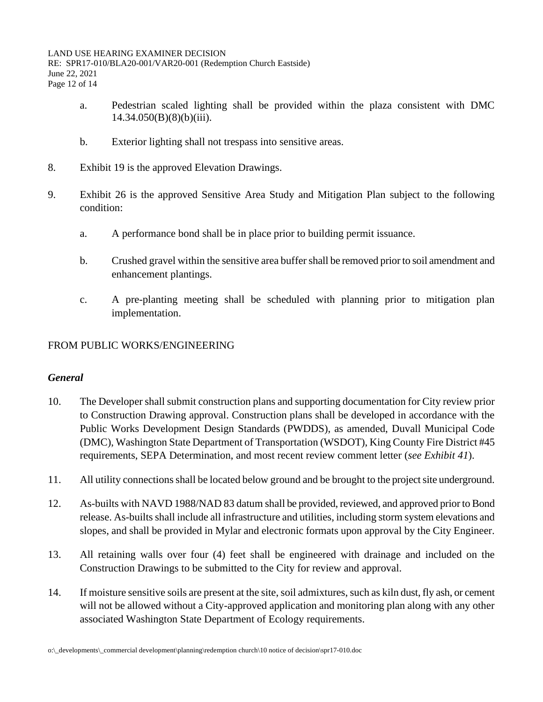- a. Pedestrian scaled lighting shall be provided within the plaza consistent with DMC  $14.34.050(B)(8)(b)(iii)$ .
- b. Exterior lighting shall not trespass into sensitive areas.
- 8. Exhibit 19 is the approved Elevation Drawings.
- 9. Exhibit 26 is the approved Sensitive Area Study and Mitigation Plan subject to the following condition:
	- a. A performance bond shall be in place prior to building permit issuance.
	- b. Crushed gravel within the sensitive area buffer shall be removed prior to soil amendment and enhancement plantings.
	- c. A pre-planting meeting shall be scheduled with planning prior to mitigation plan implementation.

# FROM PUBLIC WORKS/ENGINEERING

# *General*

- 10. The Developer shall submit construction plans and supporting documentation for City review prior to Construction Drawing approval. Construction plans shall be developed in accordance with the Public Works Development Design Standards (PWDDS), as amended, Duvall Municipal Code (DMC), Washington State Department of Transportation (WSDOT), King County Fire District #45 requirements, SEPA Determination, and most recent review comment letter (*see Exhibit 41*).
- 11. All utility connections shall be located below ground and be brought to the project site underground.
- 12. As-builts with NAVD 1988/NAD 83 datum shall be provided, reviewed, and approved prior to Bond release. As-builts shall include all infrastructure and utilities, including storm system elevations and slopes, and shall be provided in Mylar and electronic formats upon approval by the City Engineer.
- 13. All retaining walls over four (4) feet shall be engineered with drainage and included on the Construction Drawings to be submitted to the City for review and approval.
- 14. If moisture sensitive soils are present at the site,soil admixtures, such as kiln dust, fly ash, or cement will not be allowed without a City-approved application and monitoring plan along with any other associated Washington State Department of Ecology requirements.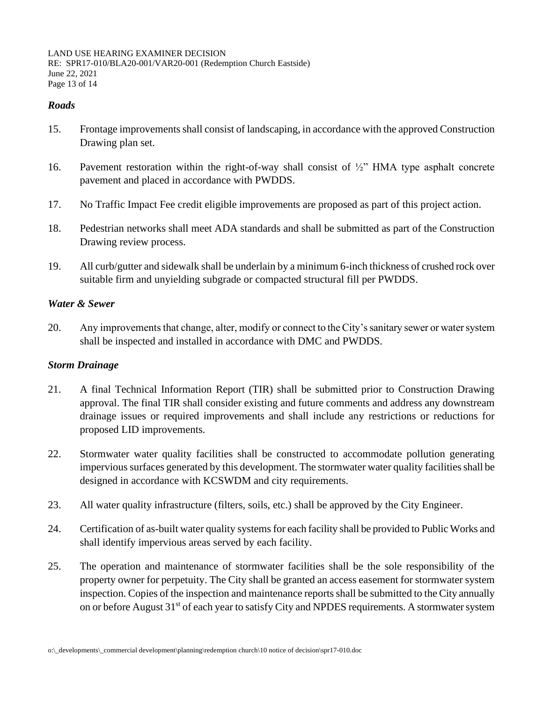LAND USE HEARING EXAMINER DECISION RE: SPR17-010/BLA20-001/VAR20-001 (Redemption Church Eastside) June 22, 2021 Page 13 of 14

# *Roads*

- 15. Frontage improvements shall consist of landscaping, in accordance with the approved Construction Drawing plan set.
- 16. Pavement restoration within the right-of-way shall consist of  $\frac{1}{2}$ " HMA type asphalt concrete pavement and placed in accordance with PWDDS.
- 17. No Traffic Impact Fee credit eligible improvements are proposed as part of this project action.
- 18. Pedestrian networks shall meet ADA standards and shall be submitted as part of the Construction Drawing review process.
- 19. All curb/gutter and sidewalk shall be underlain by a minimum 6-inch thickness of crushed rock over suitable firm and unyielding subgrade or compacted structural fill per PWDDS.

#### *Water & Sewer*

20. Any improvements that change, alter, modify or connect to the City's sanitary sewer or water system shall be inspected and installed in accordance with DMC and PWDDS.

# *Storm Drainage*

- 21. A final Technical Information Report (TIR) shall be submitted prior to Construction Drawing approval. The final TIR shall consider existing and future comments and address any downstream drainage issues or required improvements and shall include any restrictions or reductions for proposed LID improvements.
- 22. Stormwater water quality facilities shall be constructed to accommodate pollution generating impervious surfaces generated by this development. The stormwater water quality facilities shall be designed in accordance with KCSWDM and city requirements.
- 23. All water quality infrastructure (filters, soils, etc.) shall be approved by the City Engineer.
- 24. Certification of as-built water quality systems for each facility shall be provided to Public Works and shall identify impervious areas served by each facility.
- 25. The operation and maintenance of stormwater facilities shall be the sole responsibility of the property owner for perpetuity. The City shall be granted an access easement for stormwater system inspection. Copies of the inspection and maintenance reports shall be submitted to the City annually on or before August 31<sup>st</sup> of each year to satisfy City and NPDES requirements. A stormwater system